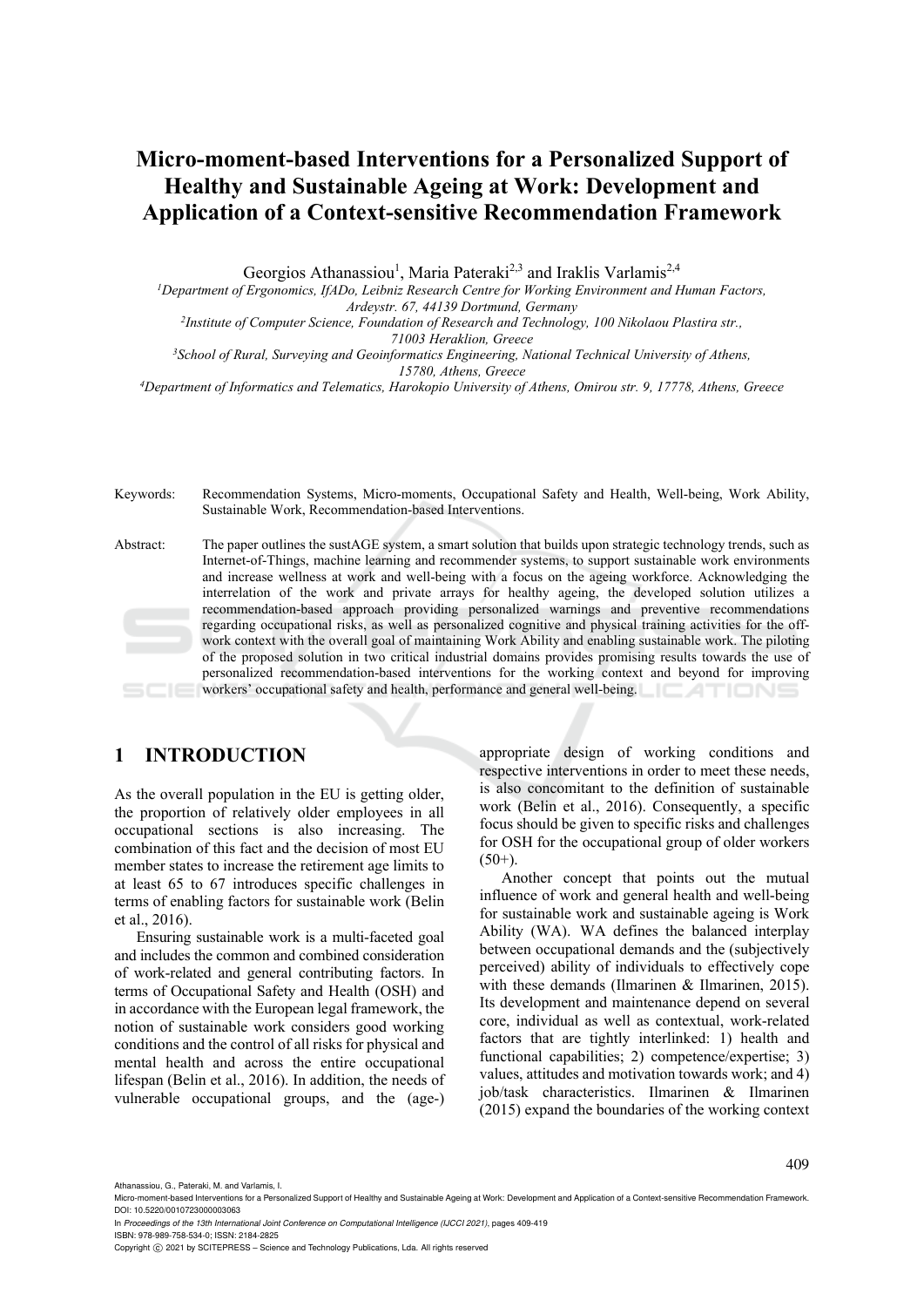Georgios Athanassiou<sup>1</sup>, Maria Pateraki<sup>2,3</sup> and Iraklis Varlamis<sup>2,4</sup>

*1 Department of Ergonomics, IfADo, Leibniz Research Centre for Working Environment and Human Factors,* 

*Ardeystr. 67, 44139 Dortmund, Germany 2Institute of Computer Science, Foundation of Research and Technology, 100 Nikolaou Plastira str.,* 

*71003 Heraklion, Greece 3 School of Rural, Surveying and Geoinformatics Engineering, National Technical University of Athens,* 

*15780, Athens, Greece 4 Department of Informatics and Telematics, Harokopio University of Athens, Omirou str. 9, 17778, Athens, Greece* 

Keywords: Recommendation Systems, Micro-moments, Occupational Safety and Health, Well-being, Work Ability, Sustainable Work, Recommendation-based Interventions.

Abstract: The paper outlines the sustAGE system, a smart solution that builds upon strategic technology trends, such as Internet-of-Things, machine learning and recommender systems, to support sustainable work environments and increase wellness at work and well-being with a focus on the ageing workforce. Acknowledging the interrelation of the work and private arrays for healthy ageing, the developed solution utilizes a recommendation-based approach providing personalized warnings and preventive recommendations regarding occupational risks, as well as personalized cognitive and physical training activities for the offwork context with the overall goal of maintaining Work Ability and enabling sustainable work. The piloting of the proposed solution in two critical industrial domains provides promising results towards the use of personalized recommendation-based interventions for the working context and beyond for improving workers' occupational safety and health, performance and general well-being.

## **1 INTRODUCTION**

As the overall population in the EU is getting older, the proportion of relatively older employees in all occupational sections is also increasing. The combination of this fact and the decision of most EU member states to increase the retirement age limits to at least 65 to 67 introduces specific challenges in terms of enabling factors for sustainable work (Belin et al., 2016).

Ensuring sustainable work is a multi-faceted goal and includes the common and combined consideration of work-related and general contributing factors. In terms of Occupational Safety and Health (OSH) and in accordance with the European legal framework, the notion of sustainable work considers good working conditions and the control of all risks for physical and mental health and across the entire occupational lifespan (Belin et al., 2016). In addition, the needs of vulnerable occupational groups, and the (age-)

appropriate design of working conditions and respective interventions in order to meet these needs, is also concomitant to the definition of sustainable work (Belin et al., 2016). Consequently, a specific focus should be given to specific risks and challenges for OSH for the occupational group of older workers  $(50+)$ .

Another concept that points out the mutual influence of work and general health and well-being for sustainable work and sustainable ageing is Work Ability (WA). WA defines the balanced interplay between occupational demands and the (subjectively perceived) ability of individuals to effectively cope with these demands (Ilmarinen & Ilmarinen, 2015). Its development and maintenance depend on several core, individual as well as contextual, work-related factors that are tightly interlinked: 1) health and functional capabilities; 2) competence/expertise; 3) values, attitudes and motivation towards work; and 4) job/task characteristics. Ilmarinen & Ilmarinen (2015) expand the boundaries of the working context

Athanassiou, G., Pateraki, M. and Varlamis, I.

Micro-moment-based Interventions for a Personalized Support of Healthy and Sustainable Ageing at Work: Development and Application of a Context-sensitive Recommendation Framework DOI: 10.5220/0010723000003063

In *Proceedings of the 13th International Joint Conference on Computational Intelligence (IJCCI 2021)*, pages 409-419

ISBN: 978-989-758-534-0; ISSN: 2184-2825

Copyright (C) 2021 by SCITEPRESS - Science and Technology Publications, Lda. All rights reserved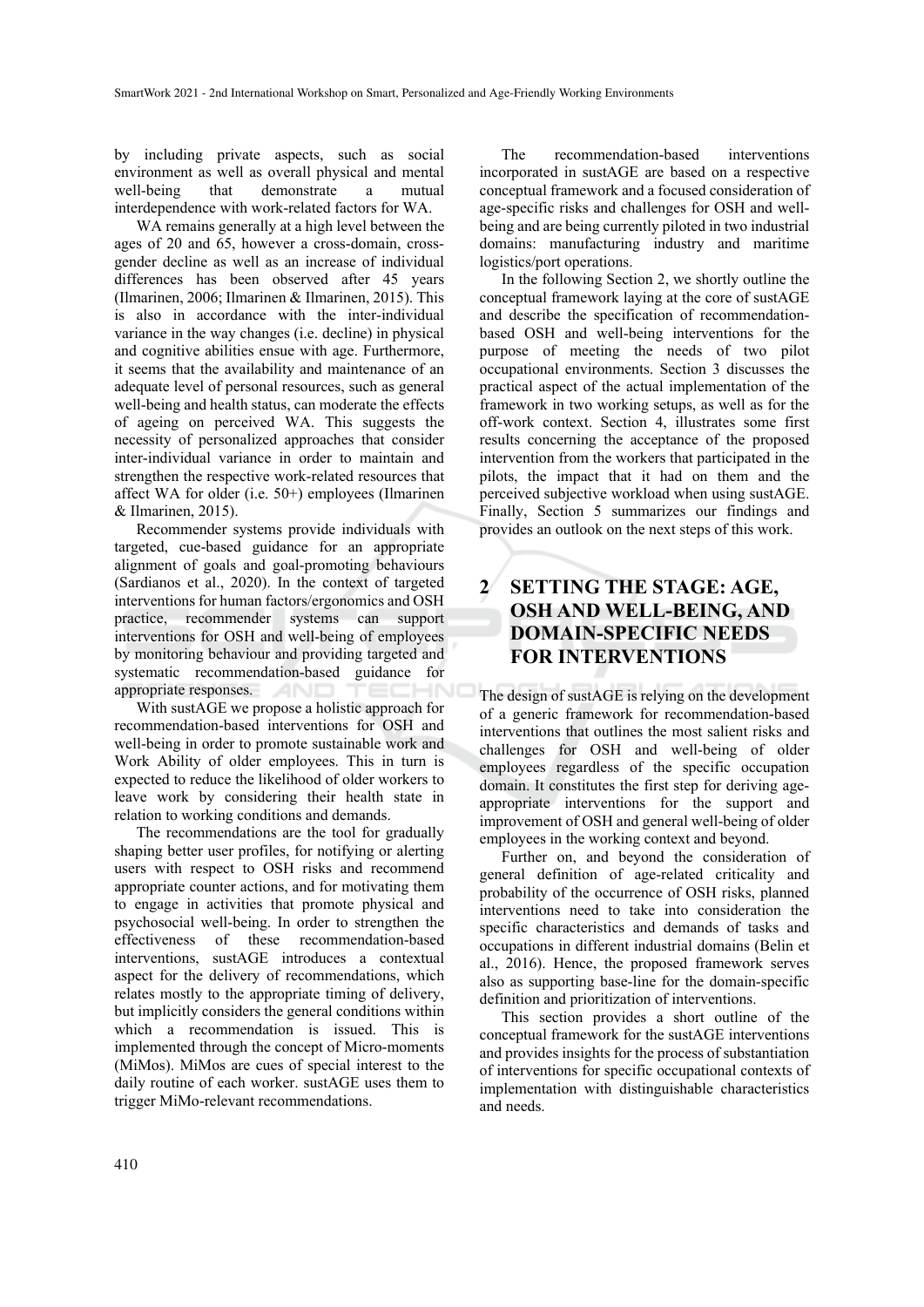by including private aspects, such as social environment as well as overall physical and mental well-being that demonstrate a mutual interdependence with work-related factors for WA.

WA remains generally at a high level between the ages of 20 and 65, however a cross-domain, crossgender decline as well as an increase of individual differences has been observed after 45 years (Ilmarinen, 2006; Ilmarinen & Ilmarinen, 2015). This is also in accordance with the inter-individual variance in the way changes (i.e. decline) in physical and cognitive abilities ensue with age. Furthermore, it seems that the availability and maintenance of an adequate level of personal resources, such as general well-being and health status, can moderate the effects of ageing on perceived WA. This suggests the necessity of personalized approaches that consider inter-individual variance in order to maintain and strengthen the respective work-related resources that affect WA for older (i.e. 50+) employees (Ilmarinen & Ilmarinen, 2015).

Recommender systems provide individuals with targeted, cue-based guidance for an appropriate alignment of goals and goal-promoting behaviours (Sardianos et al., 2020). In the context of targeted interventions for human factors/ergonomics and OSH practice, recommender systems can support interventions for OSH and well-being of employees by monitoring behaviour and providing targeted and systematic recommendation-based guidance for appropriate responses. **AND**  $\neg N$ 

With sustAGE we propose a holistic approach for recommendation-based interventions for OSH and well-being in order to promote sustainable work and Work Ability of older employees. This in turn is expected to reduce the likelihood of older workers to leave work by considering their health state in relation to working conditions and demands.

The recommendations are the tool for gradually shaping better user profiles, for notifying or alerting users with respect to OSH risks and recommend appropriate counter actions, and for motivating them to engage in activities that promote physical and psychosocial well-being. In order to strengthen the effectiveness of these recommendation-based interventions, sustAGE introduces a contextual aspect for the delivery of recommendations, which relates mostly to the appropriate timing of delivery, but implicitly considers the general conditions within which a recommendation is issued. This is implemented through the concept of Micro-moments (MiMos). MiMos are cues of special interest to the daily routine of each worker. sustAGE uses them to trigger MiMo-relevant recommendations.

The recommendation-based interventions incorporated in sustAGE are based on a respective conceptual framework and a focused consideration of age-specific risks and challenges for OSH and wellbeing and are being currently piloted in two industrial domains: manufacturing industry and maritime logistics/port operations.

In the following Section 2, we shortly outline the conceptual framework laying at the core of sustAGE and describe the specification of recommendationbased OSH and well-being interventions for the purpose of meeting the needs of two pilot occupational environments. Section 3 discusses the practical aspect of the actual implementation of the framework in two working setups, as well as for the off-work context. Section 4, illustrates some first results concerning the acceptance of the proposed intervention from the workers that participated in the pilots, the impact that it had on them and the perceived subjective workload when using sustAGE. Finally, Section 5 summarizes our findings and provides an outlook on the next steps of this work.

## **2 SETTING THE STAGE: AGE, OSH AND WELL-BEING, AND DOMAIN-SPECIFIC NEEDS FOR INTERVENTIONS**

The design of sustAGE is relying on the development of a generic framework for recommendation-based interventions that outlines the most salient risks and challenges for OSH and well-being of older employees regardless of the specific occupation domain. It constitutes the first step for deriving ageappropriate interventions for the support and improvement of OSH and general well-being of older employees in the working context and beyond.

Further on, and beyond the consideration of general definition of age-related criticality and probability of the occurrence of OSH risks, planned interventions need to take into consideration the specific characteristics and demands of tasks and occupations in different industrial domains (Belin et al., 2016). Hence, the proposed framework serves also as supporting base-line for the domain-specific definition and prioritization of interventions.

This section provides a short outline of the conceptual framework for the sustAGE interventions and provides insights for the process of substantiation of interventions for specific occupational contexts of implementation with distinguishable characteristics and needs.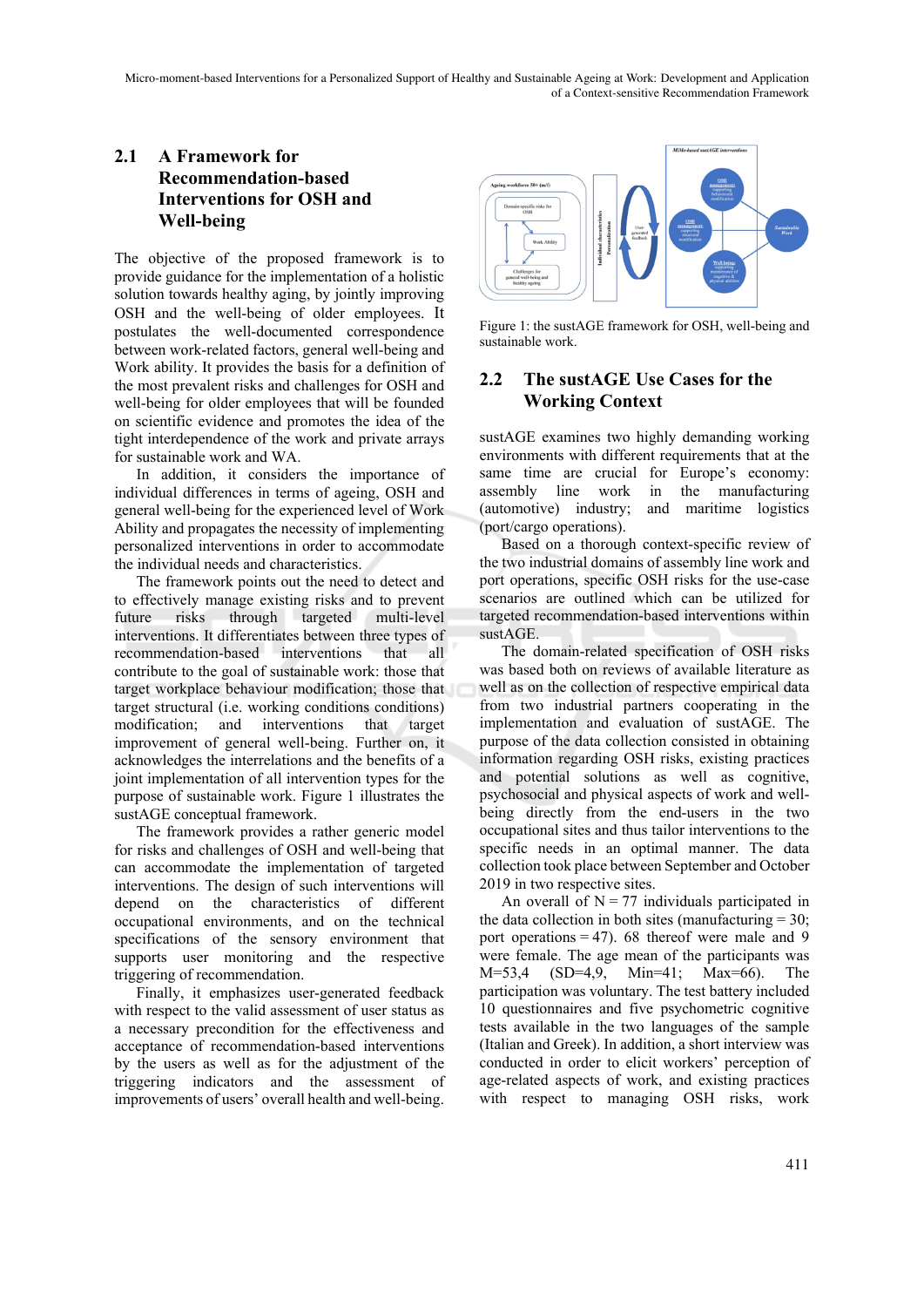## **2.1 A Framework for Recommendation-based Interventions for OSH and Well-being**

The objective of the proposed framework is to provide guidance for the implementation of a holistic solution towards healthy aging, by jointly improving OSH and the well-being of older employees. It postulates the well-documented correspondence between work-related factors, general well-being and Work ability. It provides the basis for a definition of the most prevalent risks and challenges for OSH and well-being for older employees that will be founded on scientific evidence and promotes the idea of the tight interdependence of the work and private arrays for sustainable work and WA.

In addition, it considers the importance of individual differences in terms of ageing, OSH and general well-being for the experienced level of Work Ability and propagates the necessity of implementing personalized interventions in order to accommodate the individual needs and characteristics.

The framework points out the need to detect and to effectively manage existing risks and to prevent future risks through targeted multi-level interventions. It differentiates between three types of recommendation-based interventions that all contribute to the goal of sustainable work: those that target workplace behaviour modification; those that target structural (i.e. working conditions conditions) modification; and interventions that target improvement of general well-being. Further on, it acknowledges the interrelations and the benefits of a joint implementation of all intervention types for the purpose of sustainable work. Figure 1 illustrates the sustAGE conceptual framework.

The framework provides a rather generic model for risks and challenges of OSH and well-being that can accommodate the implementation of targeted interventions. The design of such interventions will depend on the characteristics of different occupational environments, and on the technical specifications of the sensory environment that supports user monitoring and the respective triggering of recommendation.

Finally, it emphasizes user-generated feedback with respect to the valid assessment of user status as a necessary precondition for the effectiveness and acceptance of recommendation-based interventions by the users as well as for the adjustment of the triggering indicators and the assessment of improvements of users' overall health and well-being.



Figure 1: the sustAGE framework for OSH, well-being and sustainable work.

### **2.2 The sustAGE Use Cases for the Working Context**

sustAGE examines two highly demanding working environments with different requirements that at the same time are crucial for Europe's economy: assembly line work in the manufacturing (automotive) industry; and maritime logistics (port/cargo operations).

Based on a thorough context-specific review of the two industrial domains of assembly line work and port operations, specific OSH risks for the use-case scenarios are outlined which can be utilized for targeted recommendation-based interventions within sustAGE.

The domain-related specification of OSH risks was based both on reviews of available literature as well as on the collection of respective empirical data from two industrial partners cooperating in the implementation and evaluation of sustAGE. The purpose of the data collection consisted in obtaining information regarding OSH risks, existing practices and potential solutions as well as cognitive, psychosocial and physical aspects of work and wellbeing directly from the end-users in the two occupational sites and thus tailor interventions to the specific needs in an optimal manner. The data collection took place between September and October 2019 in two respective sites.

An overall of  $N = 77$  individuals participated in the data collection in both sites (manufacturing  $= 30$ ; port operations  $= 47$ ). 68 thereof were male and 9 were female. The age mean of the participants was M=53,4 (SD=4,9, Min=41; Max=66). The participation was voluntary. The test battery included 10 questionnaires and five psychometric cognitive tests available in the two languages of the sample (Italian and Greek). In addition, a short interview was conducted in order to elicit workers' perception of age-related aspects of work, and existing practices with respect to managing OSH risks, work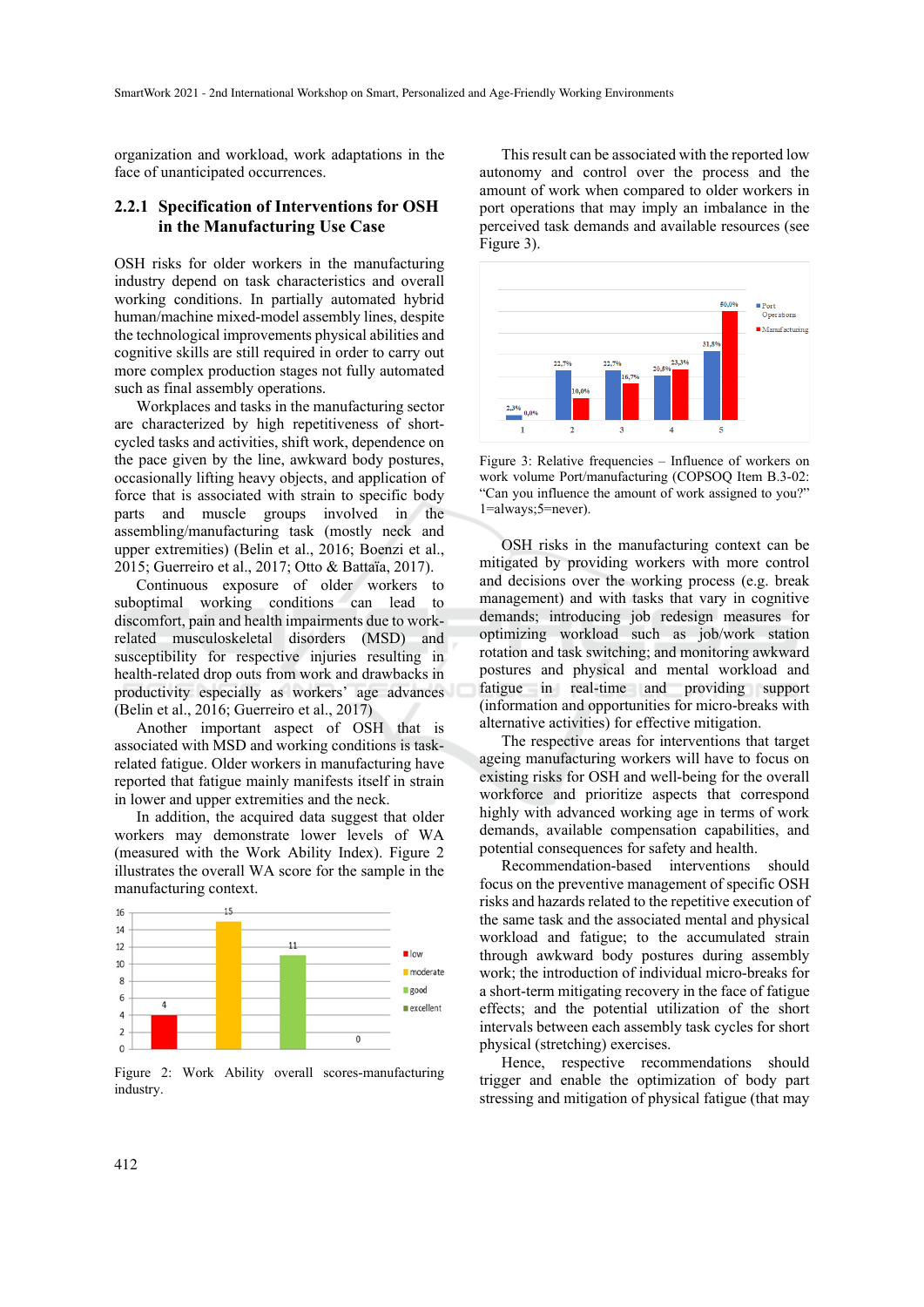organization and workload, work adaptations in the face of unanticipated occurrences.

#### **2.2.1 Specification of Interventions for OSH in the Manufacturing Use Case**

OSH risks for older workers in the manufacturing industry depend on task characteristics and overall working conditions. In partially automated hybrid human/machine mixed-model assembly lines, despite the technological improvements physical abilities and cognitive skills are still required in order to carry out more complex production stages not fully automated such as final assembly operations.

Workplaces and tasks in the manufacturing sector are characterized by high repetitiveness of shortcycled tasks and activities, shift work, dependence on the pace given by the line, awkward body postures, occasionally lifting heavy objects, and application of force that is associated with strain to specific body parts and muscle groups involved in the assembling/manufacturing task (mostly neck and upper extremities) (Belin et al., 2016; Boenzi et al., 2015; Guerreiro et al., 2017; Otto & Battaïa, 2017).

Continuous exposure of older workers to suboptimal working conditions can lead to discomfort, pain and health impairments due to workrelated musculoskeletal disorders (MSD) and susceptibility for respective injuries resulting in health-related drop outs from work and drawbacks in productivity especially as workers' age advances (Belin et al., 2016; Guerreiro et al., 2017)

Another important aspect of OSH that is associated with MSD and working conditions is taskrelated fatigue. Older workers in manufacturing have reported that fatigue mainly manifests itself in strain in lower and upper extremities and the neck.

In addition, the acquired data suggest that older workers may demonstrate lower levels of WA (measured with the Work Ability Index). Figure 2 illustrates the overall WA score for the sample in the manufacturing context.



Figure 2: Work Ability overall scores-manufacturing industry.

This result can be associated with the reported low autonomy and control over the process and the amount of work when compared to older workers in port operations that may imply an imbalance in the perceived task demands and available resources (see Figure 3).



Figure 3: Relative frequencies – Influence of workers on work volume Port/manufacturing (COPSOQ Item B.3-02: "Can you influence the amount of work assigned to you?" 1=always;5=never).

OSH risks in the manufacturing context can be mitigated by providing workers with more control and decisions over the working process (e.g. break management) and with tasks that vary in cognitive demands; introducing job redesign measures for optimizing workload such as job/work station rotation and task switching; and monitoring awkward postures and physical and mental workload and fatigue in real-time and providing support (information and opportunities for micro-breaks with alternative activities) for effective mitigation.

The respective areas for interventions that target ageing manufacturing workers will have to focus on existing risks for OSH and well-being for the overall workforce and prioritize aspects that correspond highly with advanced working age in terms of work demands, available compensation capabilities, and potential consequences for safety and health.

Recommendation-based interventions should focus on the preventive management of specific OSH risks and hazards related to the repetitive execution of the same task and the associated mental and physical workload and fatigue; to the accumulated strain through awkward body postures during assembly work; the introduction of individual micro-breaks for a short-term mitigating recovery in the face of fatigue effects; and the potential utilization of the short intervals between each assembly task cycles for short physical (stretching) exercises.

Hence, respective recommendations should trigger and enable the optimization of body part stressing and mitigation of physical fatigue (that may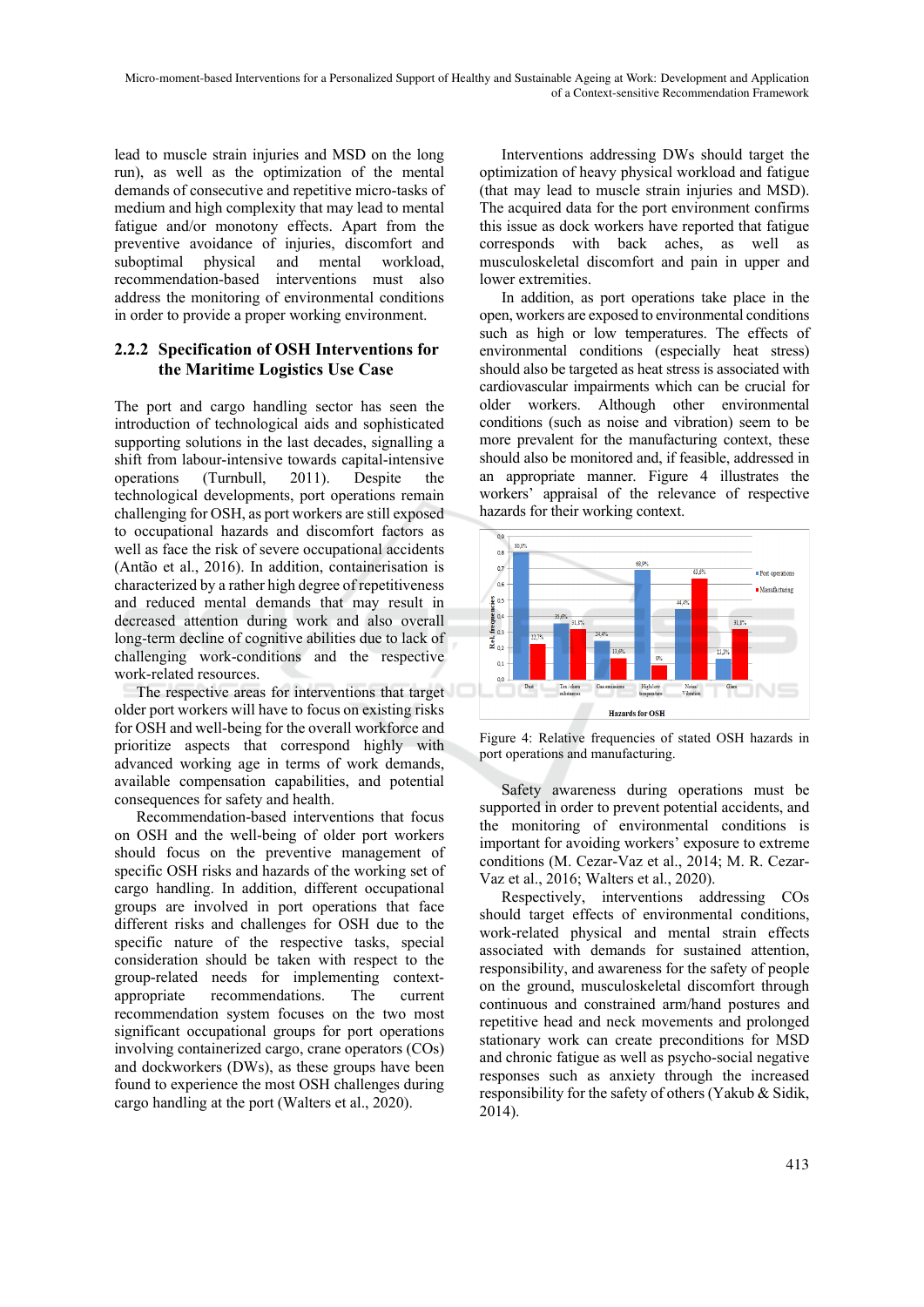lead to muscle strain injuries and MSD on the long run), as well as the optimization of the mental demands of consecutive and repetitive micro-tasks of medium and high complexity that may lead to mental fatigue and/or monotony effects. Apart from the preventive avoidance of injuries, discomfort and suboptimal physical and mental workload, recommendation-based interventions must also address the monitoring of environmental conditions in order to provide a proper working environment.

#### **2.2.2 Specification of OSH Interventions for the Maritime Logistics Use Case**

The port and cargo handling sector has seen the introduction of technological aids and sophisticated supporting solutions in the last decades, signalling a shift from labour-intensive towards capital-intensive operations (Turnbull, 2011). Despite the technological developments, port operations remain challenging for OSH, as port workers are still exposed to occupational hazards and discomfort factors as well as face the risk of severe occupational accidents (Antão et al., 2016). In addition, containerisation is characterized by a rather high degree of repetitiveness and reduced mental demands that may result in decreased attention during work and also overall long-term decline of cognitive abilities due to lack of challenging work-conditions and the respective work-related resources.

The respective areas for interventions that target older port workers will have to focus on existing risks for OSH and well-being for the overall workforce and prioritize aspects that correspond highly with advanced working age in terms of work demands, available compensation capabilities, and potential consequences for safety and health.

Recommendation-based interventions that focus on OSH and the well-being of older port workers should focus on the preventive management of specific OSH risks and hazards of the working set of cargo handling. In addition, different occupational groups are involved in port operations that face different risks and challenges for OSH due to the specific nature of the respective tasks, special consideration should be taken with respect to the group-related needs for implementing contextappropriate recommendations. The current recommendation system focuses on the two most significant occupational groups for port operations involving containerized cargo, crane operators (COs) and dockworkers (DWs), as these groups have been found to experience the most OSH challenges during cargo handling at the port (Walters et al., 2020).

Interventions addressing DWs should target the optimization of heavy physical workload and fatigue (that may lead to muscle strain injuries and MSD). The acquired data for the port environment confirms this issue as dock workers have reported that fatigue corresponds with back aches, as well as musculoskeletal discomfort and pain in upper and lower extremities.

In addition, as port operations take place in the open, workers are exposed to environmental conditions such as high or low temperatures. The effects of environmental conditions (especially heat stress) should also be targeted as heat stress is associated with cardiovascular impairments which can be crucial for older workers. Although other environmental conditions (such as noise and vibration) seem to be more prevalent for the manufacturing context, these should also be monitored and, if feasible, addressed in an appropriate manner. Figure 4 illustrates the workers' appraisal of the relevance of respective hazards for their working context.



Figure 4: Relative frequencies of stated OSH hazards in port operations and manufacturing.

Safety awareness during operations must be supported in order to prevent potential accidents, and the monitoring of environmental conditions is important for avoiding workers' exposure to extreme conditions (M. Cezar-Vaz et al., 2014; M. R. Cezar-Vaz et al., 2016; Walters et al., 2020).

Respectively, interventions addressing COs should target effects of environmental conditions, work-related physical and mental strain effects associated with demands for sustained attention, responsibility, and awareness for the safety of people on the ground, musculoskeletal discomfort through continuous and constrained arm/hand postures and repetitive head and neck movements and prolonged stationary work can create preconditions for MSD and chronic fatigue as well as psycho-social negative responses such as anxiety through the increased responsibility for the safety of others (Yakub & Sidik, 2014).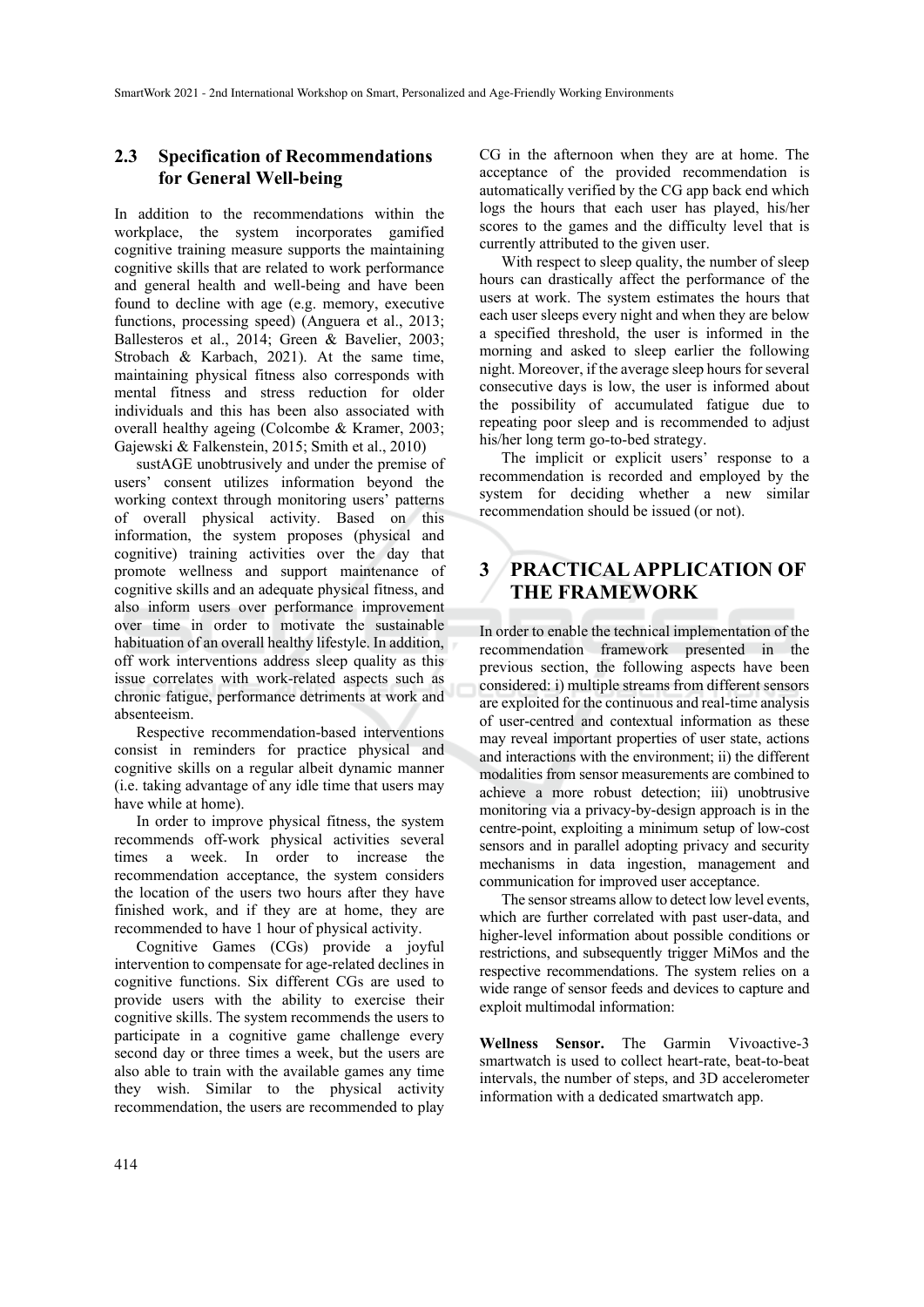### **2.3 Specification of Recommendations for General Well-being**

In addition to the recommendations within the workplace, the system incorporates gamified cognitive training measure supports the maintaining cognitive skills that are related to work performance and general health and well-being and have been found to decline with age (e.g. memory, executive functions, processing speed) (Anguera et al., 2013; Ballesteros et al., 2014; Green & Bavelier, 2003; Strobach & Karbach, 2021). At the same time, maintaining physical fitness also corresponds with mental fitness and stress reduction for older individuals and this has been also associated with overall healthy ageing (Colcombe & Kramer, 2003; Gajewski & Falkenstein, 2015; Smith et al., 2010)

sustAGE unobtrusively and under the premise of users' consent utilizes information beyond the working context through monitoring users' patterns of overall physical activity. Based on this information, the system proposes (physical and cognitive) training activities over the day that promote wellness and support maintenance of cognitive skills and an adequate physical fitness, and also inform users over performance improvement over time in order to motivate the sustainable habituation of an overall healthy lifestyle. In addition, off work interventions address sleep quality as this issue correlates with work-related aspects such as chronic fatigue, performance detriments at work and absenteeism.

Respective recommendation-based interventions consist in reminders for practice physical and cognitive skills on a regular albeit dynamic manner (i.e. taking advantage of any idle time that users may have while at home).

In order to improve physical fitness, the system recommends off-work physical activities several times a week. In order to increase the recommendation acceptance, the system considers the location of the users two hours after they have finished work, and if they are at home, they are recommended to have 1 hour of physical activity.

Cognitive Games (CGs) provide a joyful intervention to compensate for age-related declines in cognitive functions. Six different CGs are used to provide users with the ability to exercise their cognitive skills. The system recommends the users to participate in a cognitive game challenge every second day or three times a week, but the users are also able to train with the available games any time they wish. Similar to the physical activity recommendation, the users are recommended to play

CG in the afternoon when they are at home. The acceptance of the provided recommendation is automatically verified by the CG app back end which logs the hours that each user has played, his/her scores to the games and the difficulty level that is currently attributed to the given user.

With respect to sleep quality, the number of sleep hours can drastically affect the performance of the users at work. The system estimates the hours that each user sleeps every night and when they are below a specified threshold, the user is informed in the morning and asked to sleep earlier the following night. Moreover, if the average sleep hours for several consecutive days is low, the user is informed about the possibility of accumulated fatigue due to repeating poor sleep and is recommended to adjust his/her long term go-to-bed strategy.

The implicit or explicit users' response to a recommendation is recorded and employed by the system for deciding whether a new similar recommendation should be issued (or not).

## **3 PRACTICAL APPLICATION OF THE FRAMEWORK**

In order to enable the technical implementation of the recommendation framework presented in the previous section, the following aspects have been considered: i) multiple streams from different sensors are exploited for the continuous and real-time analysis of user-centred and contextual information as these may reveal important properties of user state, actions and interactions with the environment; ii) the different modalities from sensor measurements are combined to achieve a more robust detection; iii) unobtrusive monitoring via a privacy-by-design approach is in the centre-point, exploiting a minimum setup of low-cost sensors and in parallel adopting privacy and security mechanisms in data ingestion, management and communication for improved user acceptance.

The sensor streams allow to detect low level events, which are further correlated with past user-data, and higher-level information about possible conditions or restrictions, and subsequently trigger MiMos and the respective recommendations. The system relies on a wide range of sensor feeds and devices to capture and exploit multimodal information:

**Wellness Sensor.** The Garmin Vivoactive-3 smartwatch is used to collect heart-rate, beat-to-beat intervals, the number of steps, and 3D accelerometer information with a dedicated smartwatch app.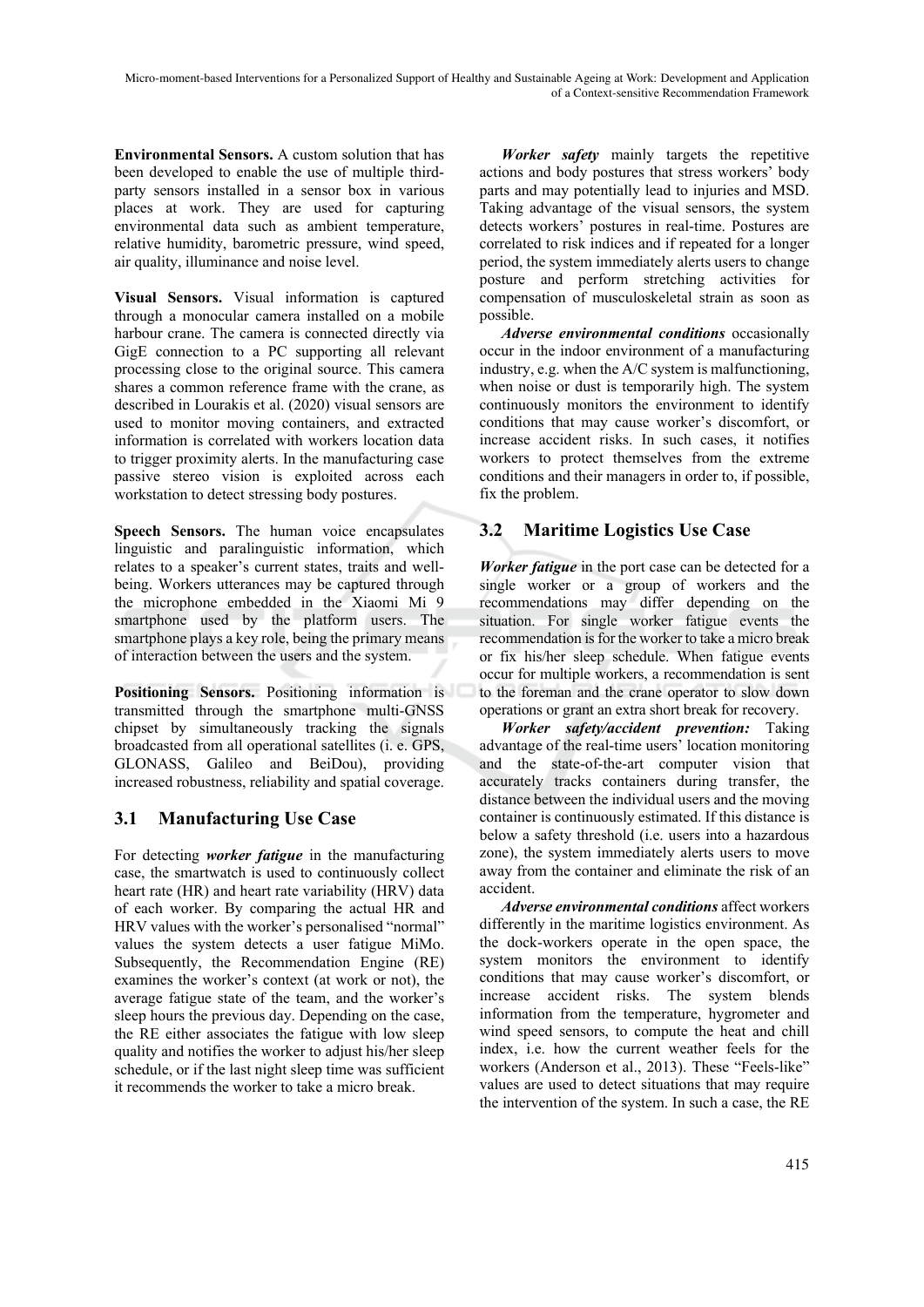**Environmental Sensors.** A custom solution that has been developed to enable the use of multiple thirdparty sensors installed in a sensor box in various places at work. They are used for capturing environmental data such as ambient temperature, relative humidity, barometric pressure, wind speed, air quality, illuminance and noise level.

**Visual Sensors.** Visual information is captured through a monocular camera installed on a mobile harbour crane. The camera is connected directly via GigE connection to a PC supporting all relevant processing close to the original source. This camera shares a common reference frame with the crane, as described in Lourakis et al. (2020) visual sensors are used to monitor moving containers, and extracted information is correlated with workers location data to trigger proximity alerts. In the manufacturing case passive stereo vision is exploited across each workstation to detect stressing body postures.

**Speech Sensors.** The human voice encapsulates linguistic and paralinguistic information, which relates to a speaker's current states, traits and wellbeing. Workers utterances may be captured through the microphone embedded in the Xiaomi Mi 9 smartphone used by the platform users. The smartphone plays a key role, being the primary means of interaction between the users and the system.

**Positioning Sensors.** Positioning information is transmitted through the smartphone multi-GNSS chipset by simultaneously tracking the signals broadcasted from all operational satellites (i. e. GPS, GLONASS, Galileo and BeiDou), providing increased robustness, reliability and spatial coverage.

### **3.1 Manufacturing Use Case**

For detecting *worker fatigue* in the manufacturing case, the smartwatch is used to continuously collect heart rate (HR) and heart rate variability (HRV) data of each worker. By comparing the actual HR and HRV values with the worker's personalised "normal" values the system detects a user fatigue MiMo. Subsequently, the Recommendation Engine (RE) examines the worker's context (at work or not), the average fatigue state of the team, and the worker's sleep hours the previous day. Depending on the case, the RE either associates the fatigue with low sleep quality and notifies the worker to adjust his/her sleep schedule, or if the last night sleep time was sufficient it recommends the worker to take a micro break.

*Worker safety* mainly targets the repetitive actions and body postures that stress workers' body parts and may potentially lead to injuries and MSD. Taking advantage of the visual sensors, the system detects workers' postures in real-time. Postures are correlated to risk indices and if repeated for a longer period, the system immediately alerts users to change posture and perform stretching activities for compensation of musculoskeletal strain as soon as possible.

*Adverse environmental conditions* occasionally occur in the indoor environment of a manufacturing industry, e.g. when the A/C system is malfunctioning, when noise or dust is temporarily high. The system continuously monitors the environment to identify conditions that may cause worker's discomfort, or increase accident risks. In such cases, it notifies workers to protect themselves from the extreme conditions and their managers in order to, if possible, fix the problem.

### **3.2 Maritime Logistics Use Case**

*Worker fatigue* in the port case can be detected for a single worker or a group of workers and the recommendations may differ depending on the situation. For single worker fatigue events the recommendation is for the worker to take a micro break or fix his/her sleep schedule. When fatigue events occur for multiple workers, a recommendation is sent to the foreman and the crane operator to slow down operations or grant an extra short break for recovery.

*Worker safety/accident prevention:* Taking advantage of the real-time users' location monitoring and the state-of-the-art computer vision that accurately tracks containers during transfer, the distance between the individual users and the moving container is continuously estimated. If this distance is below a safety threshold (i.e. users into a hazardous zone), the system immediately alerts users to move away from the container and eliminate the risk of an accident.

*Adverse environmental conditions* affect workers differently in the maritime logistics environment. As the dock-workers operate in the open space, the system monitors the environment to identify conditions that may cause worker's discomfort, or increase accident risks. The system blends information from the temperature, hygrometer and wind speed sensors, to compute the heat and chill index, i.e. how the current weather feels for the workers (Anderson et al., 2013). These "Feels-like" values are used to detect situations that may require the intervention of the system. In such a case, the RE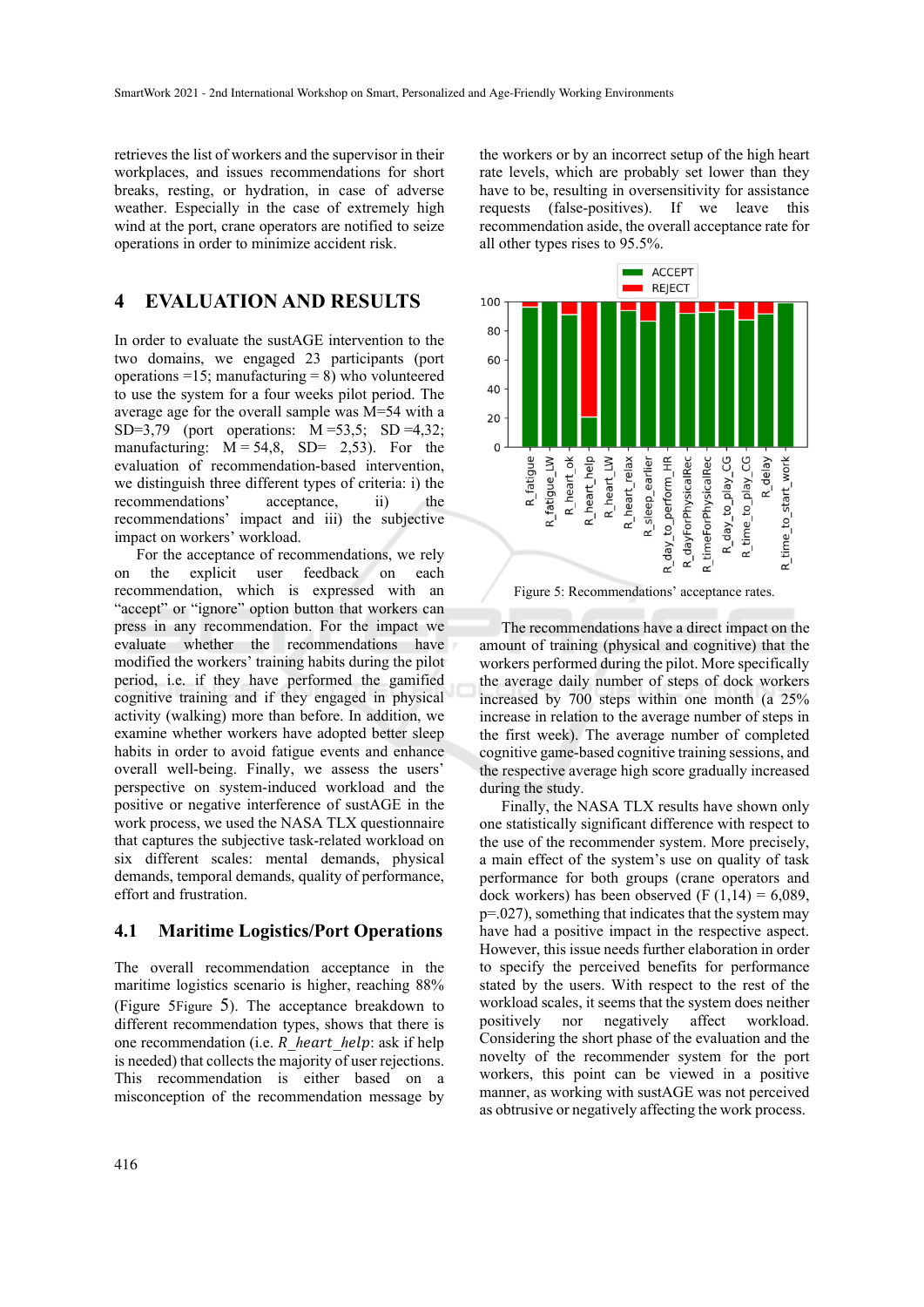retrieves the list of workers and the supervisor in their workplaces, and issues recommendations for short breaks, resting, or hydration, in case of adverse weather. Especially in the case of extremely high wind at the port, crane operators are notified to seize operations in order to minimize accident risk.

## **4 EVALUATION AND RESULTS**

In order to evaluate the sustAGE intervention to the two domains, we engaged 23 participants (port operations =15; manufacturing = 8) who volunteered to use the system for a four weeks pilot period. The average age for the overall sample was M=54 with a SD=3,79 (port operations: M =53,5; SD =4,32; manufacturing:  $M = 54.8$ , SD= 2,53). For the evaluation of recommendation-based intervention, we distinguish three different types of criteria: i) the recommendations' acceptance, ii) the recommendations' impact and iii) the subjective impact on workers' workload.

For the acceptance of recommendations, we rely on the explicit user feedback on each recommendation, which is expressed with an "accept" or "ignore" option button that workers can press in any recommendation. For the impact we evaluate whether the recommendations have modified the workers' training habits during the pilot period, i.e. if they have performed the gamified cognitive training and if they engaged in physical activity (walking) more than before. In addition, we examine whether workers have adopted better sleep habits in order to avoid fatigue events and enhance overall well-being. Finally, we assess the users' perspective on system-induced workload and the positive or negative interference of sustAGE in the work process, we used the NASA TLX questionnaire that captures the subjective task-related workload on six different scales: mental demands, physical demands, temporal demands, quality of performance, effort and frustration.

#### **4.1 Maritime Logistics/Port Operations**

The overall recommendation acceptance in the maritime logistics scenario is higher, reaching 88% (Figure 5Figure 5). The acceptance breakdown to different recommendation types, shows that there is one recommendation (i.e.  $R$  heart help: ask if help is needed) that collects the majority of user rejections. This recommendation is either based on a misconception of the recommendation message by

the workers or by an incorrect setup of the high heart rate levels, which are probably set lower than they have to be, resulting in oversensitivity for assistance requests (false-positives). If we leave this recommendation aside, the overall acceptance rate for all other types rises to 95.5%.





The recommendations have a direct impact on the amount of training (physical and cognitive) that the workers performed during the pilot. More specifically the average daily number of steps of dock workers increased by 700 steps within one month (a 25% increase in relation to the average number of steps in the first week). The average number of completed cognitive game-based cognitive training sessions, and the respective average high score gradually increased during the study.

Finally, the NASA TLX results have shown only one statistically significant difference with respect to the use of the recommender system. More precisely, a main effect of the system's use on quality of task performance for both groups (crane operators and dock workers) has been observed (F  $(1,14) = 6,089$ , p=.027), something that indicates that the system may have had a positive impact in the respective aspect. However, this issue needs further elaboration in order to specify the perceived benefits for performance stated by the users. With respect to the rest of the workload scales, it seems that the system does neither positively nor negatively affect workload. Considering the short phase of the evaluation and the novelty of the recommender system for the port workers, this point can be viewed in a positive manner, as working with sustAGE was not perceived as obtrusive or negatively affecting the work process.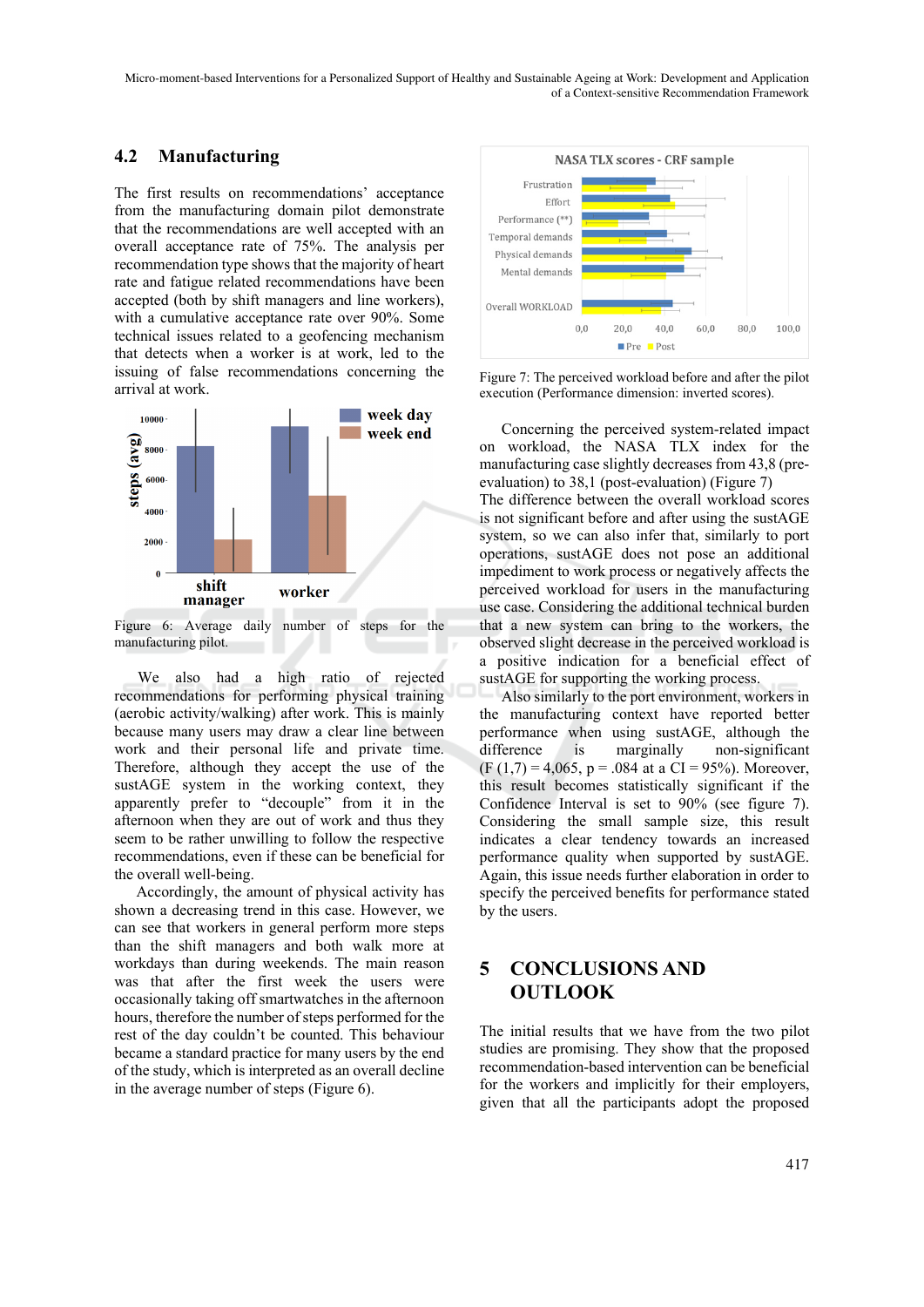#### **4.2 Manufacturing**

The first results on recommendations' acceptance from the manufacturing domain pilot demonstrate that the recommendations are well accepted with an overall acceptance rate of 75%. The analysis per recommendation type shows that the majority of heart rate and fatigue related recommendations have been accepted (both by shift managers and line workers), with a cumulative acceptance rate over 90%. Some technical issues related to a geofencing mechanism that detects when a worker is at work, led to the issuing of false recommendations concerning the arrival at work.



Figure 6: Average daily number of steps for the manufacturing pilot.

We also had a high ratio of rejected recommendations for performing physical training (aerobic activity/walking) after work. This is mainly because many users may draw a clear line between work and their personal life and private time. Therefore, although they accept the use of the sustAGE system in the working context, they apparently prefer to "decouple" from it in the afternoon when they are out of work and thus they seem to be rather unwilling to follow the respective recommendations, even if these can be beneficial for the overall well-being.

Accordingly, the amount of physical activity has shown a decreasing trend in this case. However, we can see that workers in general perform more steps than the shift managers and both walk more at workdays than during weekends. The main reason was that after the first week the users were occasionally taking off smartwatches in the afternoon hours, therefore the number of steps performed for the rest of the day couldn't be counted. This behaviour became a standard practice for many users by the end of the study, which is interpreted as an overall decline in the average number of steps (Figure 6).



Figure 7: The perceived workload before and after the pilot execution (Performance dimension: inverted scores).

Concerning the perceived system-related impact on workload, the NASA TLX index for the manufacturing case slightly decreases from 43,8 (preevaluation) to 38,1 (post-evaluation) (Figure 7)

The difference between the overall workload scores is not significant before and after using the sustAGE system, so we can also infer that, similarly to port operations, sustAGE does not pose an additional impediment to work process or negatively affects the perceived workload for users in the manufacturing use case. Considering the additional technical burden that a new system can bring to the workers, the observed slight decrease in the perceived workload is a positive indication for a beneficial effect of sustAGE for supporting the working process.

Also similarly to the port environment, workers in the manufacturing context have reported better performance when using sustAGE, although the difference is marginally non-significant  $(F (1,7) = 4,065, p = .084$  at a CI = 95%). Moreover, this result becomes statistically significant if the Confidence Interval is set to 90% (see figure 7). Considering the small sample size, this result indicates a clear tendency towards an increased performance quality when supported by sustAGE. Again, this issue needs further elaboration in order to specify the perceived benefits for performance stated by the users.

## **5 CONCLUSIONS AND OUTLOOK**

The initial results that we have from the two pilot studies are promising. They show that the proposed recommendation-based intervention can be beneficial for the workers and implicitly for their employers, given that all the participants adopt the proposed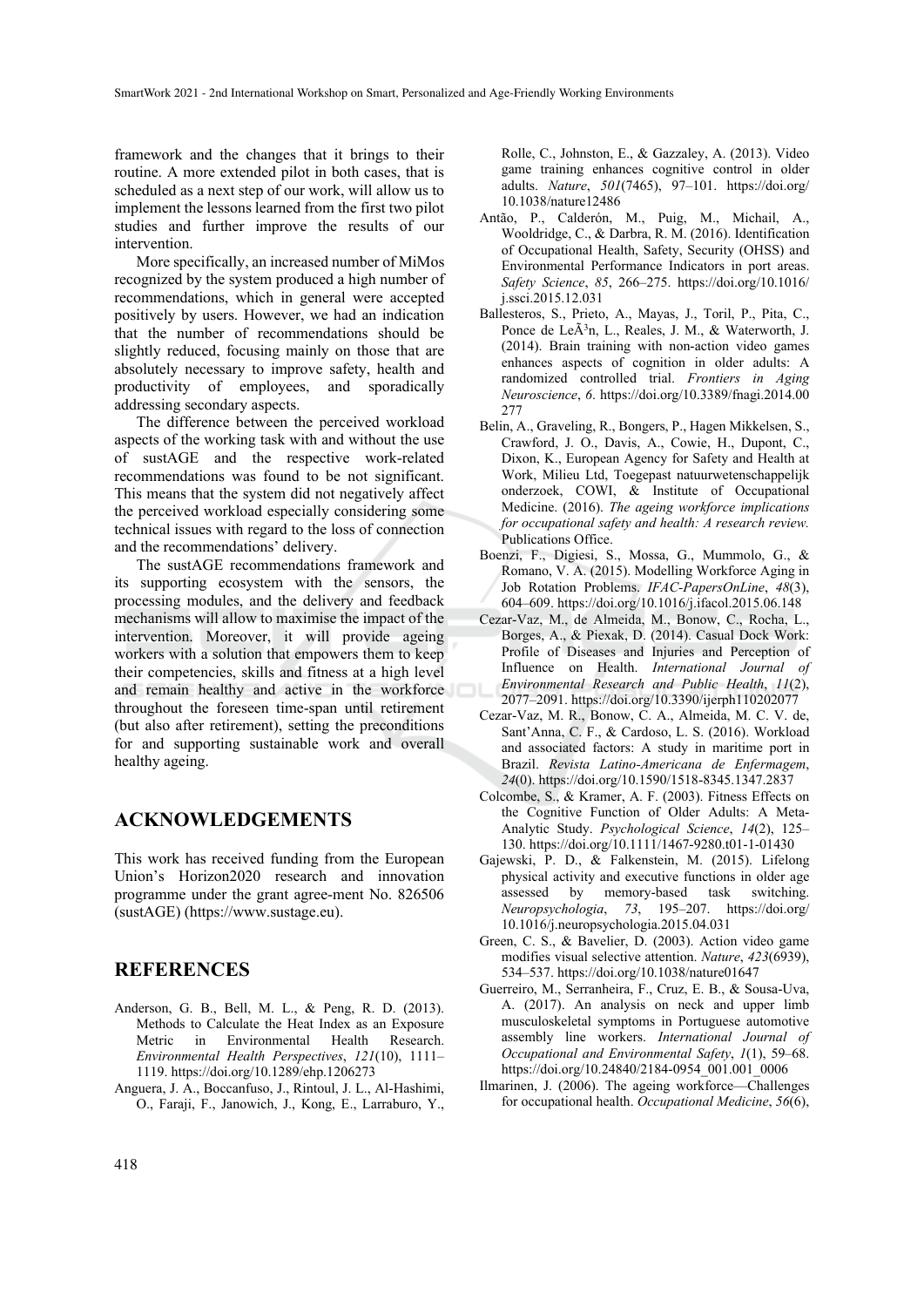framework and the changes that it brings to their routine. A more extended pilot in both cases, that is scheduled as a next step of our work, will allow us to implement the lessons learned from the first two pilot studies and further improve the results of our intervention.

More specifically, an increased number of MiMos recognized by the system produced a high number of recommendations, which in general were accepted positively by users. However, we had an indication that the number of recommendations should be slightly reduced, focusing mainly on those that are absolutely necessary to improve safety, health and productivity of employees, and sporadically addressing secondary aspects.

The difference between the perceived workload aspects of the working task with and without the use of sustAGE and the respective work-related recommendations was found to be not significant. This means that the system did not negatively affect the perceived workload especially considering some technical issues with regard to the loss of connection and the recommendations' delivery.

The sustAGE recommendations framework and its supporting ecosystem with the sensors, the processing modules, and the delivery and feedback mechanisms will allow to maximise the impact of the intervention. Moreover, it will provide ageing workers with a solution that empowers them to keep their competencies, skills and fitness at a high level and remain healthy and active in the workforce throughout the foreseen time-span until retirement (but also after retirement), setting the preconditions for and supporting sustainable work and overall healthy ageing.

#### **ACKNOWLEDGEMENTS**

This work has received funding from the European Union's Horizon2020 research and innovation programme under the grant agree-ment No. 826506 (sustAGE) (https://www.sustage.eu).

#### **REFERENCES**

- Anderson, G. B., Bell, M. L., & Peng, R. D. (2013). Methods to Calculate the Heat Index as an Exposure Metric in Environmental Health Research. *Environmental Health Perspectives*, *121*(10), 1111– 1119. https://doi.org/10.1289/ehp.1206273
- Anguera, J. A., Boccanfuso, J., Rintoul, J. L., Al-Hashimi, O., Faraji, F., Janowich, J., Kong, E., Larraburo, Y.,

Rolle, C., Johnston, E., & Gazzaley, A. (2013). Video game training enhances cognitive control in older adults. *Nature*, *501*(7465), 97–101. https://doi.org/ 10.1038/nature12486

- Antão, P., Calderón, M., Puig, M., Michail, A., Wooldridge, C., & Darbra, R. M. (2016). Identification of Occupational Health, Safety, Security (OHSS) and Environmental Performance Indicators in port areas. *Safety Science*, *85*, 266–275. https://doi.org/10.1016/ j.ssci.2015.12.031
- Ballesteros, S., Prieto, A., Mayas, J., Toril, P., Pita, C., Ponce de LeÃ<sup>3</sup>n, L., Reales, J. M., & Waterworth, J. (2014). Brain training with non-action video games enhances aspects of cognition in older adults: A randomized controlled trial. *Frontiers in Aging Neuroscience*, *6*. https://doi.org/10.3389/fnagi.2014.00 277
- Belin, A., Graveling, R., Bongers, P., Hagen Mikkelsen, S., Crawford, J. O., Davis, A., Cowie, H., Dupont, C., Dixon, K., European Agency for Safety and Health at Work, Milieu Ltd, Toegepast natuurwetenschappelijk onderzoek, COWI, & Institute of Occupational Medicine. (2016). *The ageing workforce implications for occupational safety and health: A research review.* Publications Office.
- Boenzi, F., Digiesi, S., Mossa, G., Mummolo, G., & Romano, V. A. (2015). Modelling Workforce Aging in Job Rotation Problems. *IFAC-PapersOnLine*, *48*(3), 604–609. https://doi.org/10.1016/j.ifacol.2015.06.148
- Cezar-Vaz, M., de Almeida, M., Bonow, C., Rocha, L., Borges, A., & Piexak, D. (2014). Casual Dock Work: Profile of Diseases and Injuries and Perception of Influence on Health. *International Journal of Environmental Research and Public Health*, *11*(2), 2077–2091. https://doi.org/10.3390/ijerph110202077
- Cezar-Vaz, M. R., Bonow, C. A., Almeida, M. C. V. de, Sant'Anna, C. F., & Cardoso, L. S. (2016). Workload and associated factors: A study in maritime port in Brazil. *Revista Latino-Americana de Enfermagem*, *24*(0). https://doi.org/10.1590/1518-8345.1347.2837
- Colcombe, S., & Kramer, A. F. (2003). Fitness Effects on the Cognitive Function of Older Adults: A Meta-Analytic Study. *Psychological Science*, *14*(2), 125– 130. https://doi.org/10.1111/1467-9280.t01-1-01430
- Gajewski, P. D., & Falkenstein, M. (2015). Lifelong physical activity and executive functions in older age assessed by memory-based task switching. *Neuropsychologia*, *73*, 195–207. https://doi.org/ 10.1016/j.neuropsychologia.2015.04.031
- Green, C. S., & Bavelier, D. (2003). Action video game modifies visual selective attention. *Nature*, *423*(6939), 534–537. https://doi.org/10.1038/nature01647
- Guerreiro, M., Serranheira, F., Cruz, E. B., & Sousa-Uva, A. (2017). An analysis on neck and upper limb musculoskeletal symptoms in Portuguese automotive assembly line workers. *International Journal of Occupational and Environmental Safety*, *1*(1), 59–68. https://doi.org/10.24840/2184-0954\_001.001\_0006
- Ilmarinen, J. (2006). The ageing workforce—Challenges for occupational health. *Occupational Medicine*, *56*(6),